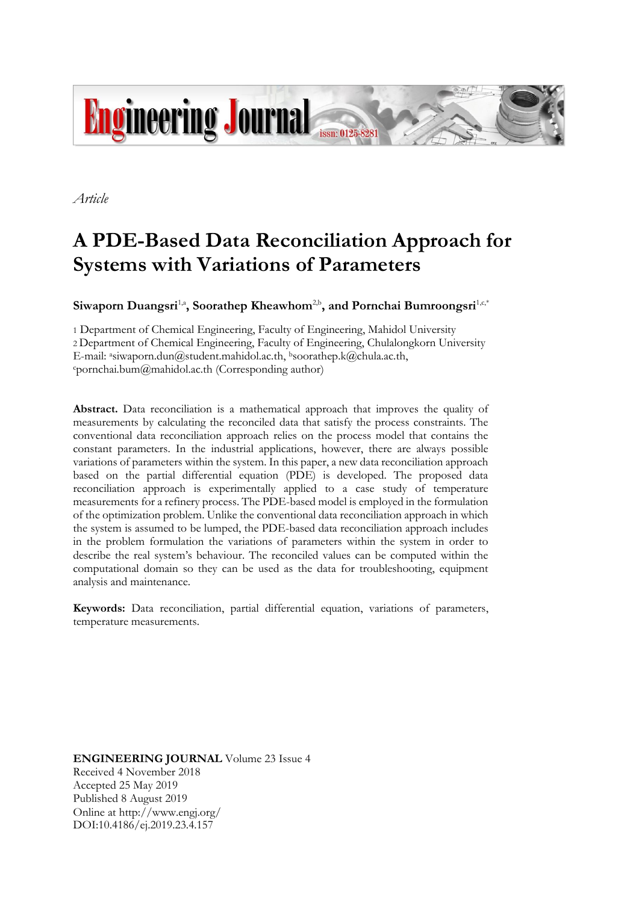

*Article*

# **A PDE-Based Data Reconciliation Approach for Systems with Variations of Parameters**

**Siwaporn Duangsri<sup>1,a</sup>, Soorathep Kheawhom<sup>2,b</sup>, and Pornchai Bumroongsri<sup>1,c,\*</sup>** 

1 Department of Chemical Engineering, Faculty of Engineering, Mahidol University 2 Department of Chemical Engineering, Faculty of Engineering, Chulalongkorn University E-mail: asiwaporn.dun@student.mahidol.ac.th, bsoorathep.k@chula.ac.th,  $c$ pornchai.bum $@$ mahidol.ac.th (Corresponding author)

**Abstract.** Data reconciliation is a mathematical approach that improves the quality of measurements by calculating the reconciled data that satisfy the process constraints. The conventional data reconciliation approach relies on the process model that contains the constant parameters. In the industrial applications, however, there are always possible variations of parameters within the system. In this paper, a new data reconciliation approach based on the partial differential equation (PDE) is developed. The proposed data reconciliation approach is experimentally applied to a case study of temperature measurements for a refinery process. The PDE-based model is employed in the formulation of the optimization problem. Unlike the conventional data reconciliation approach in which the system is assumed to be lumped, the PDE-based data reconciliation approach includes in the problem formulation the variations of parameters within the system in order to describe the real system's behaviour. The reconciled values can be computed within the computational domain so they can be used as the data for troubleshooting, equipment analysis and maintenance.

**Keywords:** Data reconciliation, partial differential equation, variations of parameters, temperature measurements.

**ENGINEERING JOURNAL** Volume 23 Issue 4 Received 4 November 2018 Accepted 25 May 2019 Published 8 August 2019 Online at http://www.engj.org/ DOI:10.4186/ej.2019.23.4.157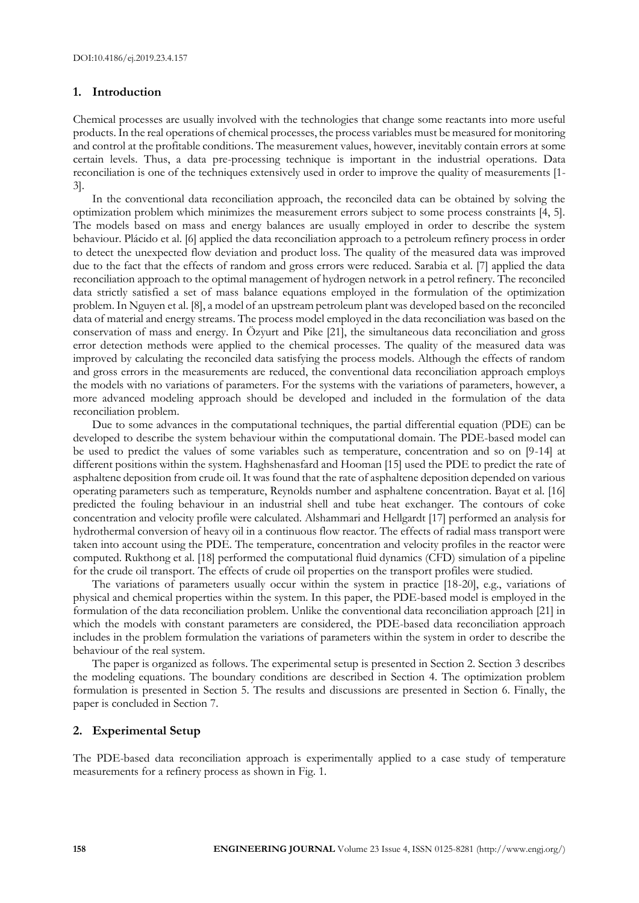## **1. Introduction**

Chemical processes are usually involved with the technologies that change some reactants into more useful products. In the real operations of chemical processes, the process variables must be measured for monitoring and control at the profitable conditions. The measurement values, however, inevitably contain errors at some certain levels. Thus, a data pre-processing technique is important in the industrial operations. Data reconciliation is one of the techniques extensively used in order to improve the quality of measurements [1- 3].

In the conventional data reconciliation approach, the reconciled data can be obtained by solving the optimization problem which minimizes the measurement errors subject to some process constraints [4, 5]. The models based on mass and energy balances are usually employed in order to describe the system behaviour. Plácido et al. [6] applied the data reconciliation approach to a petroleum refinery process in order to detect the unexpected flow deviation and product loss. The quality of the measured data was improved due to the fact that the effects of random and gross errors were reduced. Sarabia et al. [7] applied the data reconciliation approach to the optimal management of hydrogen network in a petrol refinery. The reconciled data strictly satisfied a set of mass balance equations employed in the formulation of the optimization problem. In Nguyen et al. [8], a model of an upstream petroleum plant was developed based on the reconciled data of material and energy streams. The process model employed in the data reconciliation was based on the conservation of mass and energy. In Özyurt and Pike [21], the simultaneous data reconciliation and gross error detection methods were applied to the chemical processes. The quality of the measured data was improved by calculating the reconciled data satisfying the process models. Although the effects of random and gross errors in the measurements are reduced, the conventional data reconciliation approach employs the models with no variations of parameters. For the systems with the variations of parameters, however, a more advanced modeling approach should be developed and included in the formulation of the data reconciliation problem.

Due to some advances in the computational techniques, the partial differential equation (PDE) can be developed to describe the system behaviour within the computational domain. The PDE-based model can be used to predict the values of some variables such as temperature, concentration and so on [9-14] at different positions within the system. Haghshenasfard and Hooman [15] used the PDE to predict the rate of asphaltene deposition from crude oil. It was found that the rate of asphaltene deposition depended on various operating parameters such as temperature, Reynolds number and asphaltene concentration. Bayat et al. [16] predicted the fouling behaviour in an industrial shell and tube heat exchanger. The contours of coke concentration and velocity profile were calculated. Alshammari and Hellgardt [17] performed an analysis for hydrothermal conversion of heavy oil in a continuous flow reactor. The effects of radial mass transport were taken into account using the PDE. The temperature, concentration and velocity profiles in the reactor were computed. Rukthong et al. [18] performed the computational fluid dynamics (CFD) simulation of a pipeline for the crude oil transport. The effects of crude oil properties on the transport profiles were studied.

The variations of parameters usually occur within the system in practice [18-20], e.g., variations of physical and chemical properties within the system. In this paper, the PDE-based model is employed in the formulation of the data reconciliation problem. Unlike the conventional data reconciliation approach [21] in which the models with constant parameters are considered, the PDE-based data reconciliation approach includes in the problem formulation the variations of parameters within the system in order to describe the behaviour of the real system.

The paper is organized as follows. The experimental setup is presented in Section 2. Section 3 describes the modeling equations. The boundary conditions are described in Section 4. The optimization problem formulation is presented in Section 5. The results and discussions are presented in Section 6. Finally, the paper is concluded in Section 7.

#### **2. Experimental Setup**

The PDE-based data reconciliation approach is experimentally applied to a case study of temperature measurements for a refinery process as shown in Fig. 1.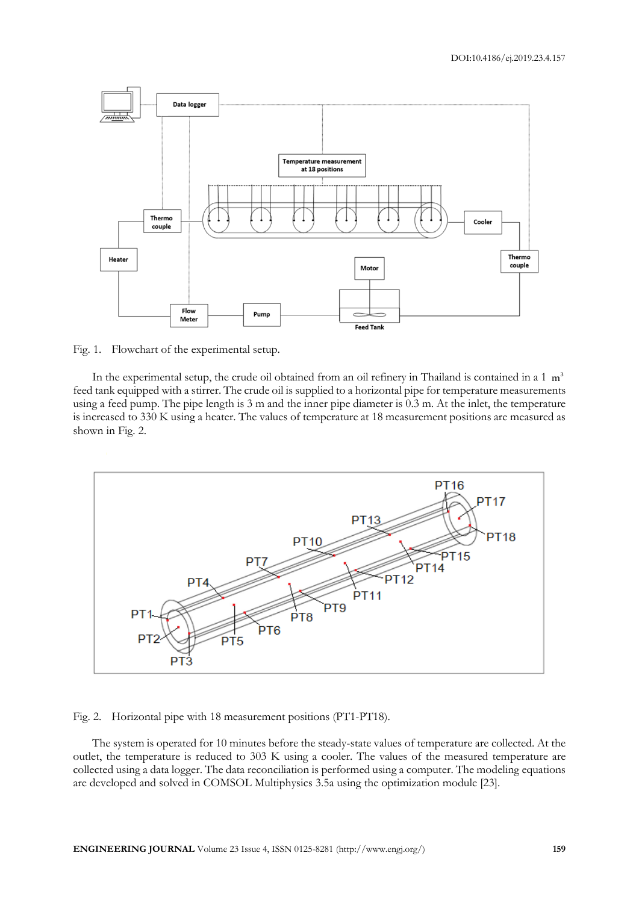

Fig. 1. Flowchart of the experimental setup.

In the experimental setup, the crude oil obtained from an oil refinery in Thailand is contained in a  $1 \text{ m}^3$ feed tank equipped with a stirrer. The crude oil is supplied to a horizontal pipe for temperature measurements using a feed pump. The pipe length is 3 m and the inner pipe diameter is 0.3 m. At the inlet, the temperature is increased to 330 K using a heater. The values of temperature at 18 measurement positions are measured as shown in Fig. 2.



Fig. 2. Horizontal pipe with 18 measurement positions (PT1-PT18).

The system is operated for 10 minutes before the steady-state values of temperature are collected. At the outlet, the temperature is reduced to 303 K using a cooler. The values of the measured temperature are collected using a data logger. The data reconciliation is performed using a computer. The modeling equations are developed and solved in COMSOL Multiphysics 3.5a using the optimization module [23].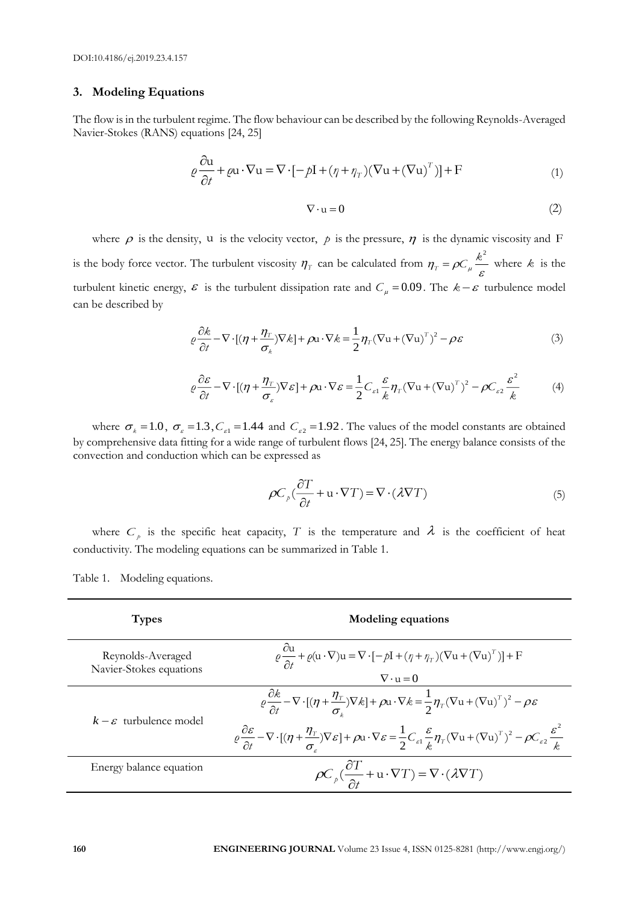## **3. Modeling Equations**

The flow is in the turbulent regime. The flow behaviour can be described by the following Reynolds-Averaged Navier-Stokes (RANS) equations [24, 25]

$$
\rho \frac{\partial u}{\partial t} + \rho u \cdot \nabla u = \nabla \cdot [-\rho I + (\eta + \eta_T)(\nabla u + (\nabla u)^T)] + F
$$
\n(1)

$$
\nabla \cdot \mathbf{u} = 0 \tag{2}
$$

where  $\rho$  is the density, u is the velocity vector,  $\rho$  is the pressure,  $\eta$  is the dynamic viscosity and F is the body force vector. The turbulent viscosity  $\eta_T$  can be calculated from  $\eta_T = \rho C_\mu \frac{\kappa}{\varepsilon}$  $k^2$  $p_T = \rho C_\mu \frac{\kappa}{\epsilon}$  where *k* is the turbulent kinetic energy,  $\varepsilon$  is the turbulent dissipation rate and  $C_{\mu} = 0.09$ . The  $k - \varepsilon$  turbulence model can be described by

$$
\rho \frac{\partial k}{\partial t} - \nabla \cdot [(\eta + \frac{\eta_{\scriptscriptstyle T}}{\sigma_k}) \nabla k] + \rho \mathbf{u} \cdot \nabla k = \frac{1}{2} \eta_{\scriptscriptstyle T} (\nabla \mathbf{u} + (\nabla \mathbf{u})^{\scriptscriptstyle T})^2 - \rho \varepsilon \tag{3}
$$

$$
\rho \frac{\partial \varepsilon}{\partial t} - \nabla \cdot [(\eta + \frac{\eta_{\scriptscriptstyle T}}{\sigma_{\scriptscriptstyle \varepsilon}}) \nabla \varepsilon] + \rho \mathbf{u} \cdot \nabla \varepsilon = \frac{1}{2} C_{\scriptscriptstyle \varepsilon 1} \frac{\varepsilon}{k} \eta_{\scriptscriptstyle T} (\nabla \mathbf{u} + (\nabla \mathbf{u})^{\scriptscriptstyle T})^2 - \rho C_{\scriptscriptstyle \varepsilon 2} \frac{\varepsilon^2}{k} \tag{4}
$$

where  $\sigma_k = 1.0$ ,  $\sigma_{\epsilon} = 1.3$ ,  $C_{\epsilon 1} = 1.44$  and  $C_{\epsilon 2} = 1.92$ . The values of the model constants are obtained by comprehensive data fitting for a wide range of turbulent flows [24, 25]. The energy balance consists of the convection and conduction which can be expressed as

$$
\rho C_p \left(\frac{\partial T}{\partial t} + \mathbf{u} \cdot \nabla T\right) = \nabla \cdot (\lambda \nabla T) \tag{5}
$$

where  $C_p$  is the specific heat capacity, T is the temperature and  $\lambda$  is the coefficient of heat conductivity. The modeling equations can be summarized in Table 1.

Table 1. Modeling equations.

| <b>Types</b>                                 | <b>Modeling equations</b>                                                                                                                                                                                                                                                                                                                                                                                                                                                                                                                                              |  |
|----------------------------------------------|------------------------------------------------------------------------------------------------------------------------------------------------------------------------------------------------------------------------------------------------------------------------------------------------------------------------------------------------------------------------------------------------------------------------------------------------------------------------------------------------------------------------------------------------------------------------|--|
| Reynolds-Averaged<br>Navier-Stokes equations | $\varrho \frac{\partial u}{\partial x} + \varrho (u \cdot \nabla) u = \nabla \cdot [-\rho I + (\eta + \eta_T)(\nabla u + (\nabla u)^T)] + F$<br>$\nabla \cdot u = 0$                                                                                                                                                                                                                                                                                                                                                                                                   |  |
| $k - \varepsilon$ turbulence model           | $\varrho \frac{\partial k}{\partial t} - \nabla \cdot [(\eta + \frac{\eta_T}{\sigma_x}) \nabla k] + \rho \mathbf{u} \cdot \nabla k = \frac{1}{2} \eta_T (\nabla \mathbf{u} + (\nabla \mathbf{u})^T)^2 - \rho \varepsilon$<br>$\varrho \frac{\partial \varepsilon}{\partial t} - \nabla \cdot [(\eta + \frac{\eta_r}{\sigma_{\varepsilon}}) \nabla \varepsilon] + \rho \mathbf{u} \cdot \nabla \varepsilon = \frac{1}{2} C_{\varepsilon 1} \frac{\varepsilon}{k} \eta_r (\nabla \mathbf{u} + (\nabla \mathbf{u})^T)^2 - \rho C_{\varepsilon 2} \frac{\varepsilon^2}{k}$ |  |
| Energy balance equation                      | $\rho C_p \left(\frac{\partial T}{\partial t} + \mathbf{u} \cdot \nabla T\right) = \nabla \cdot (\lambda \nabla T)$                                                                                                                                                                                                                                                                                                                                                                                                                                                    |  |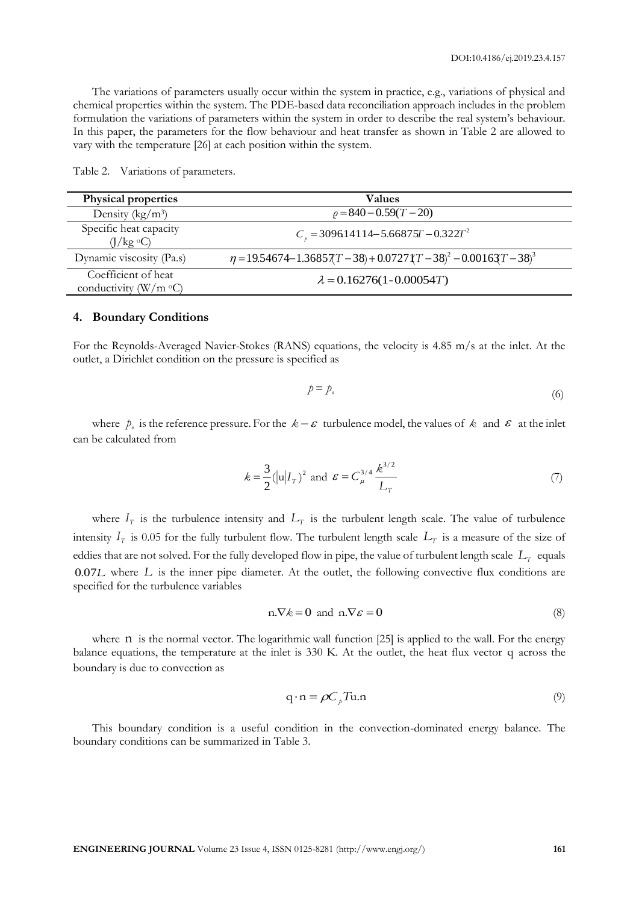The variations of parameters usually occur within the system in practice, e.g., variations of physical and chemical properties within the system. The PDE-based data reconciliation approach includes in the problem formulation the variations of parameters within the system in order to describe the real system's behaviour. In this paper, the parameters for the flow behaviour and heat transfer as shown in Table 2 are allowed to vary with the temperature [26] at each position within the system.

| <b>Physical properties</b>                           | <b>Values</b>                                                                 |
|------------------------------------------------------|-------------------------------------------------------------------------------|
| Density ( $\text{kg}/\text{m}^3$ )                   | $\rho = 840 - 0.59(T - 20)$                                                   |
| Specific heat capacity<br>$(J/kg \text{ }^{\circ}C)$ | $Cn$ = 309614114 – 5.66875 $T$ – 0.322 $T2$                                   |
| Dynamic viscosity (Pa.s)                             | $\eta = 19.54674 - 1.36857(T - 38) + 0.0727(T - 38)^{2} - 0.00163T - 38)^{3}$ |
| Coefficient of heat<br>conductivity ( $W/m$ °C)      | $\lambda = 0.16276(1 - 0.00054T)$                                             |

Table 2. Variations of parameters.

#### **4. Boundary Conditions**

For the Reynolds-Averaged Navier-Stokes (RANS) equations, the velocity is 4.85 m/s at the inlet. At the outlet, a Dirichlet condition on the pressure is specified as

$$
p = p_{\circ} \tag{6}
$$

where  $p_{\rho}$  is the reference pressure. For the  $k - \varepsilon$  turbulence model, the values of  $k$  and  $\varepsilon$  at the inlet can be calculated from

$$
k = \frac{3}{2} (|u| I_T)^2 \text{ and } \varepsilon = C_{\mu}^{3/4} \frac{k^{3/2}}{L_T}
$$
 (7)

where  $I_T$  is the turbulence intensity and  $L_T$  is the turbulent length scale. The value of turbulence intensity  $I<sub>T</sub>$  is 0.05 for the fully turbulent flow. The turbulent length scale  $L<sub>T</sub>$  is a measure of the size of eddies that are not solved. For the fully developed flow in pipe, the value of turbulent length scale  $L_T$  equals 0.07*L* where *L* is the inner pipe diameter. At the outlet, the following convective flux conditions are specified for the turbulence variables

$$
n.\nabla k = 0 \text{ and } n.\nabla \varepsilon = 0 \tag{8}
$$

where n is the normal vector. The logarithmic wall function [25] is applied to the wall. For the energy balance equations, the temperature at the inlet is 330 K. At the outlet, the heat flux vector q across the boundary is due to convection as

$$
q \cdot n = \rho C_p T u.n \tag{9}
$$

This boundary condition is a useful condition in the convection-dominated energy balance. The boundary conditions can be summarized in Table 3.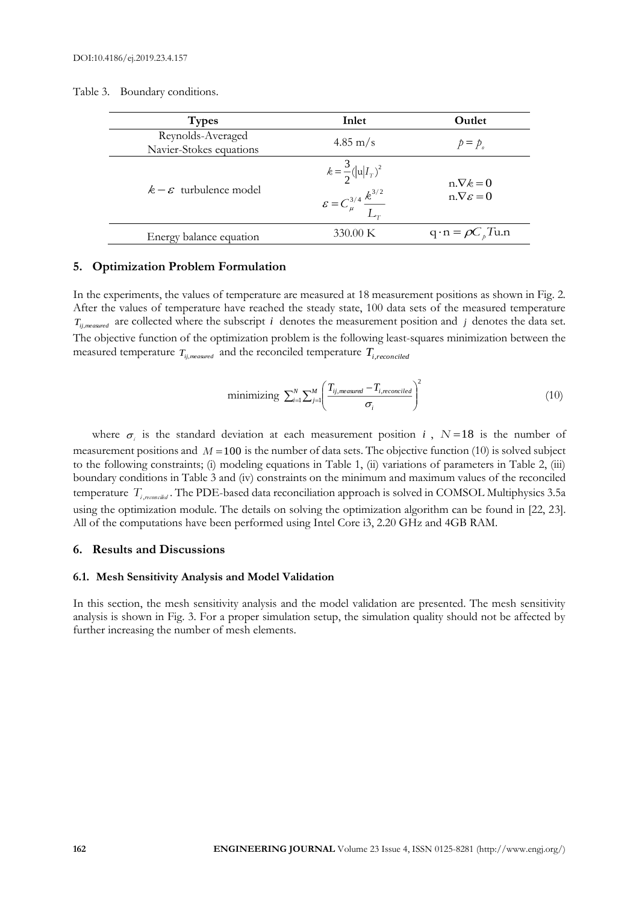Table 3. Boundary conditions.

| <b>Types</b>                                 | Inlet                                                                                | Outlet                                         |
|----------------------------------------------|--------------------------------------------------------------------------------------|------------------------------------------------|
| Reynolds-Averaged<br>Navier-Stokes equations | $4.85 \text{ m/s}$                                                                   | $p = p_a$                                      |
| $k - \varepsilon$ turbulence model           | $k = \frac{3}{2} ( u  I_T)^2$<br>$\varepsilon = C_{\mu}^{3/4} \frac{k^{3/2}}{L_{T}}$ | $n.\nabla k = 0$<br>$n.\nabla \varepsilon = 0$ |
| Energy balance equation                      | 330.00 K                                                                             | $q \cdot n = \rho C_p T u.n$                   |

## **5. Optimization Problem Formulation**

In the experiments, the values of temperature are measured at 18 measurement positions as shown in Fig. 2. After the values of temperature have reached the steady state, 100 data sets of the measured temperature  $T_{ij,measured}$  are collected where the subscript *i* denotes the measurement position and *j* denotes the data set. The objective function of the optimization problem is the following least-squares minimization between the measured temperature  $T_{ij,measured}$  and the reconciled temperature  $T_{i,reconciled}$ 

minimizing 
$$
\sum_{i=1}^{N} \sum_{j=1}^{M} \left( \frac{T_{ij,measured} - T_{i,reconciled}}{\sigma_i} \right)^2
$$
 (10)

where  $\sigma_i$  is the standard deviation at each measurement position *i*,  $N=18$  is the number of measurement positions and  $M = 100$  is the number of data sets. The objective function (10) is solved subject to the following constraints; (i) modeling equations in Table 1, (ii) variations of parameters in Table 2, (iii) boundary conditions in Table 3 and (iv) constraints on the minimum and maximum values of the reconciled temperature  $T_{i,reconcikd}$ . The PDE-based data reconciliation approach is solved in COMSOL Multiphysics 3.5a using the optimization module. The details on solving the optimization algorithm can be found in [22, 23]. All of the computations have been performed using Intel Core i3, 2.20 GHz and 4GB RAM.

#### **6. Results and Discussions**

#### **6.1. Mesh Sensitivity Analysis and Model Validation**

In this section, the mesh sensitivity analysis and the model validation are presented. The mesh sensitivity analysis is shown in Fig. 3. For a proper simulation setup, the simulation quality should not be affected by further increasing the number of mesh elements.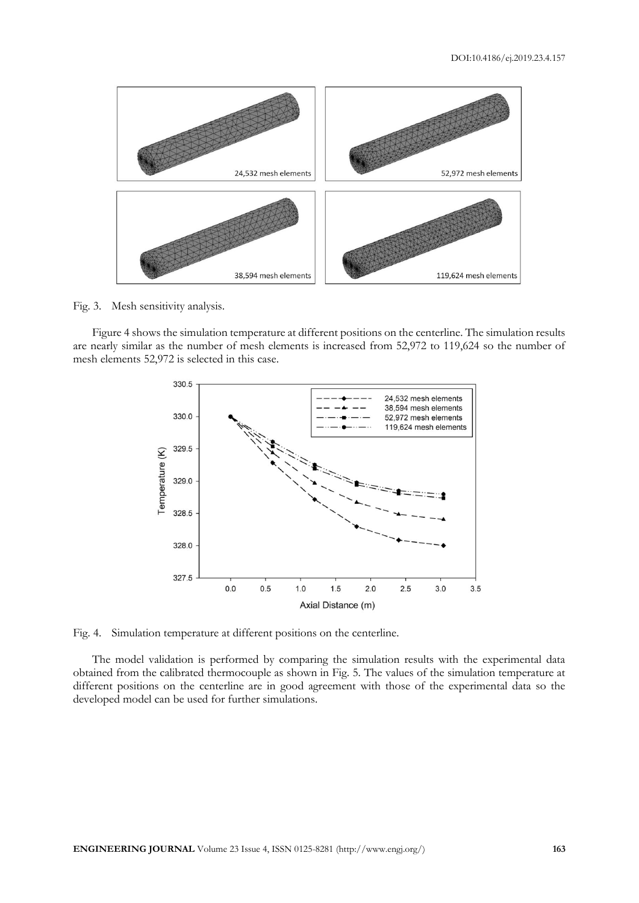

Fig. 3. Mesh sensitivity analysis.

Figure 4 shows the simulation temperature at different positions on the centerline. The simulation results are nearly similar as the number of mesh elements is increased from 52,972 to 119,624 so the number of mesh elements 52,972 is selected in this case.



Fig. 4. Simulation temperature at different positions on the centerline.

The model validation is performed by comparing the simulation results with the experimental data obtained from the calibrated thermocouple as shown in Fig. 5. The values of the simulation temperature at different positions on the centerline are in good agreement with those of the experimental data so the developed model can be used for further simulations.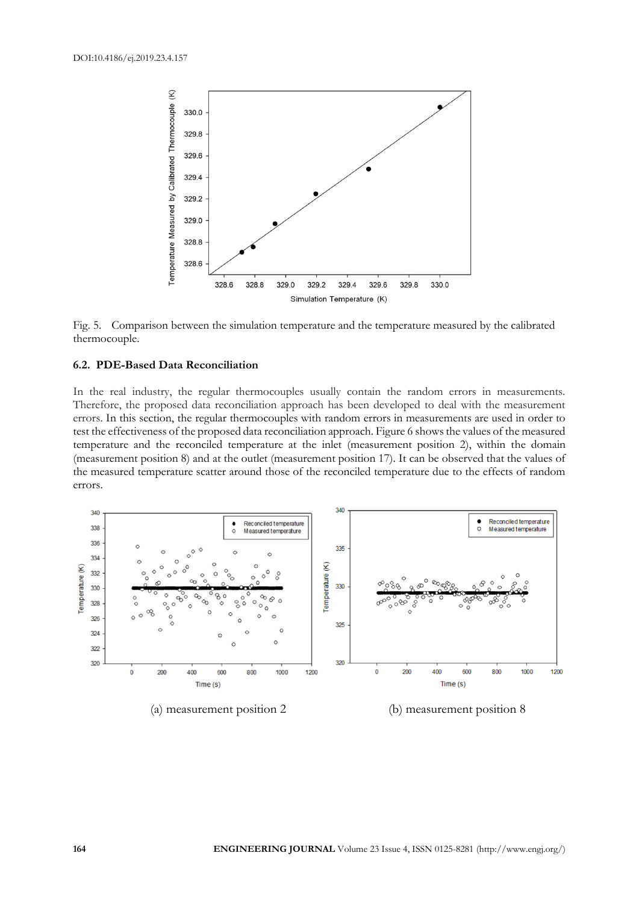



## **6.2. PDE-Based Data Reconciliation**

In the real industry, the regular thermocouples usually contain the random errors in measurements. Therefore, the proposed data reconciliation approach has been developed to deal with the measurement errors. In this section, the regular thermocouples with random errors in measurements are used in order to test the effectiveness of the proposed data reconciliation approach. Figure 6 shows the values of the measured temperature and the reconciled temperature at the inlet (measurement position 2), within the domain (measurement position 8) and at the outlet (measurement position 17). It can be observed that the values of the measured temperature scatter around those of the reconciled temperature due to the effects of random errors.



(a) measurement position 2 (b) measurement position 8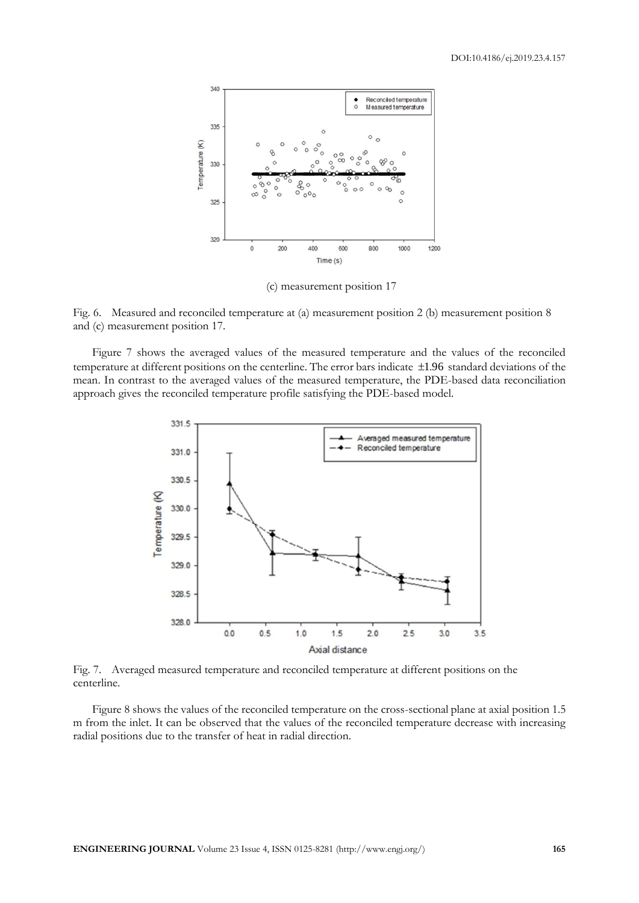

(c) measurement position 17

Fig. 6. Measured and reconciled temperature at (a) measurement position 2 (b) measurement position 8 and (c) measurement position 17.

Figure 7 shows the averaged values of the measured temperature and the values of the reconciled temperature at different positions on the centerline. The error bars indicate 1.96 standard deviations of the mean. In contrast to the averaged values of the measured temperature, the PDE-based data reconciliation approach gives the reconciled temperature profile satisfying the PDE-based model.



Fig. 7. Averaged measured temperature and reconciled temperature at different positions on the centerline.

Figure 8 shows the values of the reconciled temperature on the cross-sectional plane at axial position 1.5 m from the inlet. It can be observed that the values of the reconciled temperature decrease with increasing radial positions due to the transfer of heat in radial direction.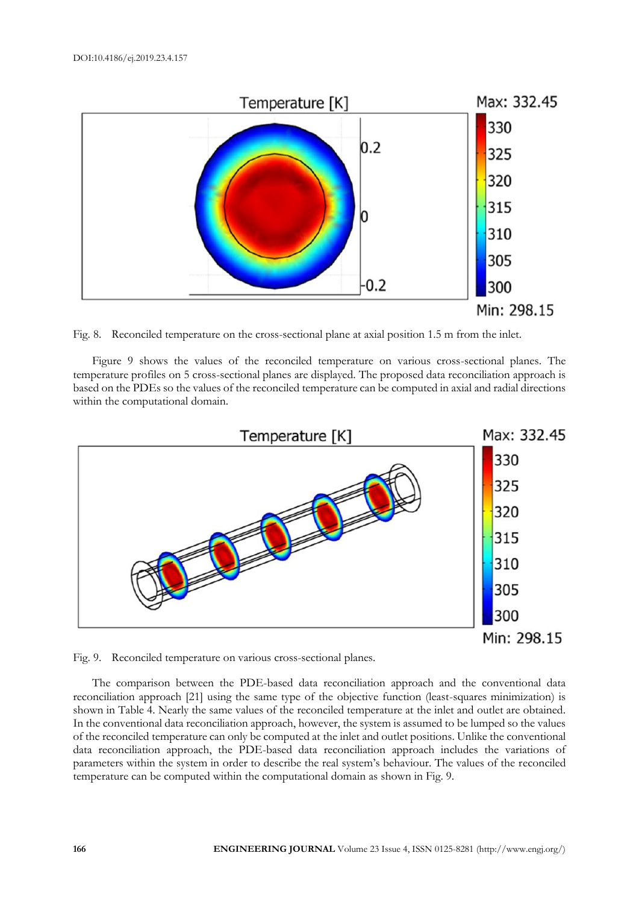

Fig. 8. Reconciled temperature on the cross-sectional plane at axial position 1.5 m from the inlet.

Figure 9 shows the values of the reconciled temperature on various cross-sectional planes. The temperature profiles on 5 cross-sectional planes are displayed. The proposed data reconciliation approach is based on the PDEs so the values of the reconciled temperature can be computed in axial and radial directions within the computational domain.



Fig. 9. Reconciled temperature on various cross-sectional planes.

The comparison between the PDE-based data reconciliation approach and the conventional data reconciliation approach [21] using the same type of the objective function (least-squares minimization) is shown in Table 4. Nearly the same values of the reconciled temperature at the inlet and outlet are obtained. In the conventional data reconciliation approach, however, the system is assumed to be lumped so the values of the reconciled temperature can only be computed at the inlet and outlet positions. Unlike the conventional data reconciliation approach, the PDE-based data reconciliation approach includes the variations of parameters within the system in order to describe the real system's behaviour. The values of the reconciled temperature can be computed within the computational domain as shown in Fig. 9.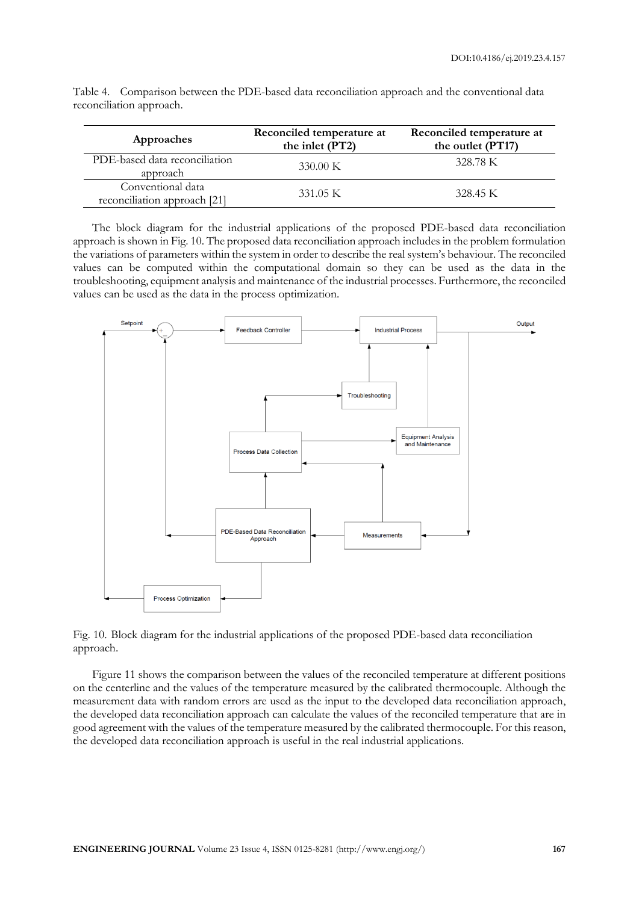| Approaches                                        | Reconciled temperature at<br>the inlet (PT2) | Reconciled temperature at<br>the outlet (PT17) |
|---------------------------------------------------|----------------------------------------------|------------------------------------------------|
| PDE-based data reconciliation<br>approach         | $330.00 \text{ K}$                           | 328.78 K                                       |
| Conventional data<br>reconciliation approach [21] | 331.05 K                                     | 328.45 K                                       |

Table 4. Comparison between the PDE-based data reconciliation approach and the conventional data reconciliation approach.

The block diagram for the industrial applications of the proposed PDE-based data reconciliation approach is shown in Fig. 10. The proposed data reconciliation approach includes in the problem formulation the variations of parameters within the system in order to describe the real system's behaviour. The reconciled values can be computed within the computational domain so they can be used as the data in the troubleshooting, equipment analysis and maintenance of the industrial processes. Furthermore, the reconciled values can be used as the data in the process optimization.



Fig. 10. Block diagram for the industrial applications of the proposed PDE-based data reconciliation approach.

Figure 11 shows the comparison between the values of the reconciled temperature at different positions on the centerline and the values of the temperature measured by the calibrated thermocouple. Although the measurement data with random errors are used as the input to the developed data reconciliation approach, the developed data reconciliation approach can calculate the values of the reconciled temperature that are in good agreement with the values of the temperature measured by the calibrated thermocouple. For this reason, the developed data reconciliation approach is useful in the real industrial applications.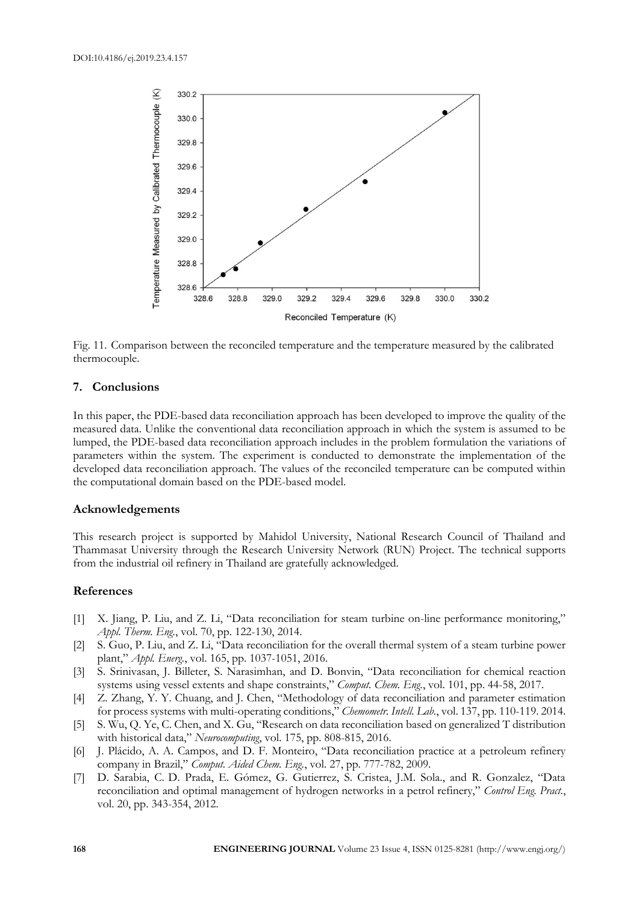

Fig. 11. Comparison between the reconciled temperature and the temperature measured by the calibrated thermocouple.

## **7. Conclusions**

In this paper, the PDE-based data reconciliation approach has been developed to improve the quality of the measured data. Unlike the conventional data reconciliation approach in which the system is assumed to be lumped, the PDE-based data reconciliation approach includes in the problem formulation the variations of parameters within the system. The experiment is conducted to demonstrate the implementation of the developed data reconciliation approach. The values of the reconciled temperature can be computed within the computational domain based on the PDE-based model.

## **Acknowledgements**

This research project is supported by Mahidol University, National Research Council of Thailand and Thammasat University through the Research University Network (RUN) Project. The technical supports from the industrial oil refinery in Thailand are gratefully acknowledged.

## **References**

- [1] X. Jiang, P. Liu, and Z. Li, "Data reconciliation for steam turbine on-line performance monitoring," *Appl. Therm. Eng.*, vol. 70, pp. 122-130, 2014.
- [2] S. Guo, P. Liu, and Z. Li, "Data reconciliation for the overall thermal system of a steam turbine power plant," *Appl. Energ.*, vol. 165, pp. 1037-1051, 2016.
- [3] S. Srinivasan, J. Billeter, S. Narasimhan, and D. Bonvin, "Data reconciliation for chemical reaction systems using vessel extents and shape constraints," *Comput. Chem. Eng.*, vol. 101, pp. 44-58, 2017.
- [4] Z. Zhang, Y. Y. Chuang, and J. Chen, "Methodology of data reconciliation and parameter estimation for process systems with multi-operating conditions," *Chemometr. Intell. Lab.*, vol. 137, pp. 110-119. 2014.
- [5] S. Wu, Q. Ye, C. Chen, and X. Gu, "Research on data reconciliation based on generalized T distribution with historical data," *Neurocomputing*, vol. 175, pp. 808-815, 2016.
- [6] J. Plácido, A. A. Campos, and D. F. Monteiro, "Data reconciliation practice at a petroleum refinery company in Brazil," *Comput. Aided Chem. Eng.*, vol. 27, pp. 777-782, 2009.
- [7] D. Sarabia, C. D. Prada, E. Gómez, G. Gutierrez, S. Cristea, J.M. Sola., and R. Gonzalez, "Data reconciliation and optimal management of hydrogen networks in a petrol refinery," *Control Eng. Pract.*, vol. 20, pp. 343-354, 2012.